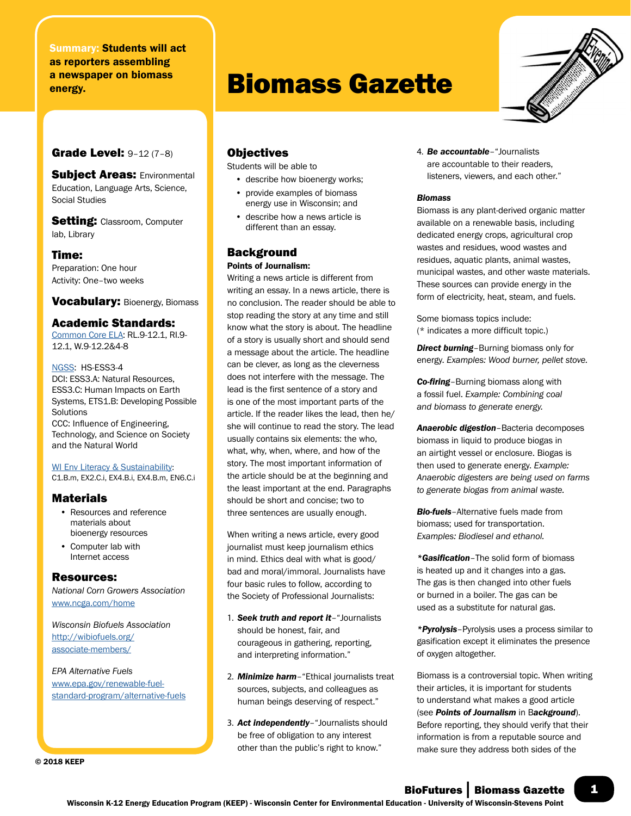# Summary: Students will act as reporters assembling a newspaper on biomass a newspaper on piomass **Biomass Gazette**

# Grade Level: 9–12 (7–8)

**Subject Areas: Environmental** Education, Language Arts, Science, Social Studies

**Setting: Classroom, Computer** lab, Library

#### Time:

Preparation: One hour Activity: One–two weeks

Vocabulary: Bioenergy, Biomass

## Academic Standards:

Common Core ELA: RL.9-12.1, RI.9- 12.1, W.9-12.2&4-8

NGSS: HS-ESS3-4 DCI: ESS3.A: Natural Resources, ESS3.C: Human Impacts on Earth Systems, ETS1.B: Developing Possible Solutions CCC: Influence of Engineering, Technology, and Science on Society and the Natural World

WI Env Literacy & Sustainability: C1.B.m, EX2.C.i, EX4.B.i, EX4.B.m, EN6.C.i

# **Materials**

- Resources and reference materials about bioenergy resources
- Computer lab with Internet access

## Resources:

*National Corn Growers Association* [www.ncga.com/home](http://www.ncga.com/home)

*Wisconsin Biofuels Association* [http://wibiofuels.org/](http://wibiofuels.org/associate-members/) [associate-members/](http://wibiofuels.org/associate-members/)

*EPA Alternative Fuels* [www.epa.gov/renewable-fuel](http://www.epa.gov/renewable-fuel-standard-program/alternative-fuels)[standard-program/alternative-fuels](http://www.epa.gov/renewable-fuel-standard-program/alternative-fuels) Objectives

Students will be able to

- describe how bioenergy works;
- provide examples of biomass energy use in Wisconsin; and
- describe how a news article is different than an essay.

# **Background**

#### Points of Journalism:

Writing a news article is different from writing an essay. In a news article, there is no conclusion. The reader should be able to stop reading the story at any time and still know what the story is about. The headline of a story is usually short and should send a message about the article. The headline can be clever, as long as the cleverness does not interfere with the message. The lead is the first sentence of a story and is one of the most important parts of the article. If the reader likes the lead, then he/ she will continue to read the story. The lead usually contains six elements: the who, what, why, when, where, and how of the story. The most important information of the article should be at the beginning and the least important at the end. Paragraphs should be short and concise; two to three sentences are usually enough.

When writing a news article, every good journalist must keep journalism ethics in mind. Ethics deal with what is good/ bad and moral/immoral. Journalists have four basic rules to follow, according to the Society of Professional Journalists:

- 1. *Seek truth and report it*–"Journalists should be honest, fair, and courageous in gathering, reporting, and interpreting information."
- 2. *Minimize harm*–"Ethical journalists treat sources, subjects, and colleagues as human beings deserving of respect."
- 3. *Act independently*–"Journalists should be free of obligation to any interest other than the public's right to know."

4. *Be accountable*–"Journalists are accountable to their readers, listeners, viewers, and each other."

#### *Biomass*

Biomass is any plant-derived organic matter available on a renewable basis, including dedicated energy crops, agricultural crop wastes and residues, wood wastes and residues, aquatic plants, animal wastes, municipal wastes, and other waste materials. These sources can provide energy in the form of electricity, heat, steam, and fuels.

Some biomass topics include: (\* indicates a more difficult topic.)

*Direct burning*–Burning biomass only for energy. *Examples: Wood burner, pellet stove.*

*Co-firing*–Burning biomass along with a fossil fuel. *Example: Combining coal and biomass to generate energy.*

*Anaerobic digestion*–Bacteria decomposes biomass in liquid to produce biogas in an airtight vessel or enclosure. Biogas is then used to generate energy. *Example: Anaerobic digesters are being used on farms to generate biogas from animal waste.*

*Bio-fuels*–Alternative fuels made from biomass; used for transportation. *Examples: Biodiesel and ethanol.*

*\*Gasification*–The solid form of biomass is heated up and it changes into a gas. The gas is then changed into other fuels or burned in a boiler. The gas can be used as a substitute for natural gas.

*\*Pyrolysis*–Pyrolysis uses a process similar to gasification except it eliminates the presence of oxygen altogether.

Biomass is a controversial topic. When writing their articles, it is important for students to understand what makes a good article (see *Points of Journalism* in B*ackground*). Before reporting, they should verify that their information is from a reputable source and make sure they address both sides of the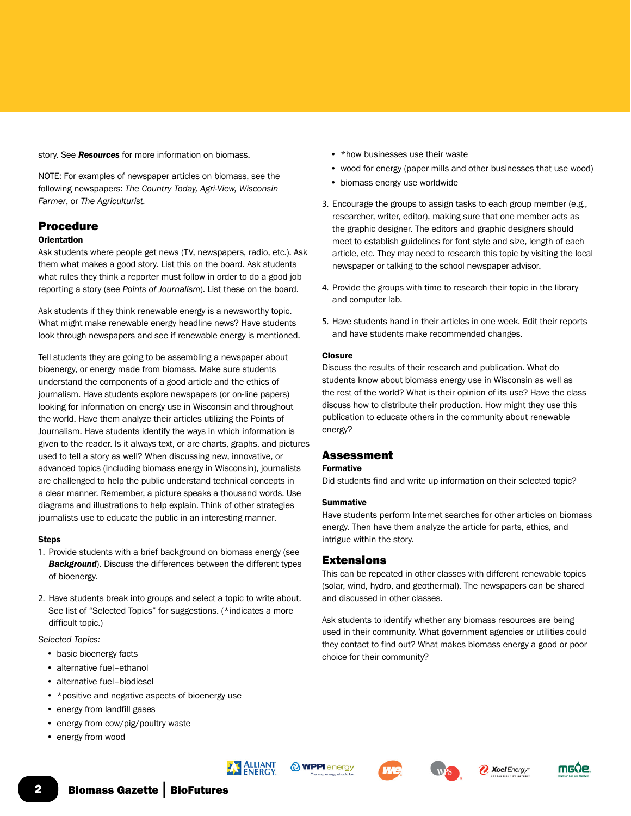story. See *Resources* for more information on biomass.

NOTE: For examples of newspaper articles on biomass, see the following newspapers: *The Country Today, Agri-View, Wisconsin Farmer*, or *The Agriculturist.*

# Procedure

#### **Orientation**

Ask students where people get news (TV, newspapers, radio, etc.). Ask them what makes a good story. List this on the board. Ask students what rules they think a reporter must follow in order to do a good job reporting a story (see *Points of Journalism*). List these on the board.

Ask students if they think renewable energy is a newsworthy topic. What might make renewable energy headline news? Have students look through newspapers and see if renewable energy is mentioned.

Tell students they are going to be assembling a newspaper about bioenergy, or energy made from biomass. Make sure students understand the components of a good article and the ethics of journalism. Have students explore newspapers (or on-line papers) looking for information on energy use in Wisconsin and throughout the world. Have them analyze their articles utilizing the Points of Journalism. Have students identify the ways in which information is given to the reader. Is it always text, or are charts, graphs, and pictures used to tell a story as well? When discussing new, innovative, or advanced topics (including biomass energy in Wisconsin), journalists are challenged to help the public understand technical concepts in a clear manner. Remember, a picture speaks a thousand words. Use diagrams and illustrations to help explain. Think of other strategies journalists use to educate the public in an interesting manner.

#### **Steps**

- 1. Provide students with a brief background on biomass energy (see *Background*). Discuss the differences between the different types of bioenergy.
- 2. Have students break into groups and select a topic to write about. See list of "Selected Topics" for suggestions. (\*indicates a more difficult topic.)

*Selected Topics:*

- basic bioenergy facts
- alternative fuel–ethanol
- alternative fuel–biodiesel
- \*positive and negative aspects of bioenergy use
- energy from landfill gases
- energy from cow/pig/poultry waste
- energy from wood
- \*how businesses use their waste
- wood for energy (paper mills and other businesses that use wood)
- biomass energy use worldwide
- 3. Encourage the groups to assign tasks to each group member (e.g., researcher, writer, editor), making sure that one member acts as the graphic designer. The editors and graphic designers should meet to establish guidelines for font style and size, length of each article, etc. They may need to research this topic by visiting the local newspaper or talking to the school newspaper advisor.
- 4. Provide the groups with time to research their topic in the library and computer lab.
- 5. Have students hand in their articles in one week. Edit their reports and have students make recommended changes.

#### **Closure**

Discuss the results of their research and publication. What do students know about biomass energy use in Wisconsin as well as the rest of the world? What is their opinion of its use? Have the class discuss how to distribute their production. How might they use this publication to educate others in the community about renewable energy?

## Assessment

#### Formative

Did students find and write up information on their selected topic?

#### **Summative**

Have students perform Internet searches for other articles on biomass energy. Then have them analyze the article for parts, ethics, and intrigue within the story.

## Extensions

This can be repeated in other classes with different renewable topics (solar, wind, hydro, and geothermal). The newspapers can be shared and discussed in other classes.

Ask students to identify whether any biomass resources are being used in their community. What government agencies or utilities could they contact to find out? What makes biomass energy a good or poor choice for their community?









**2** Xcel Energy

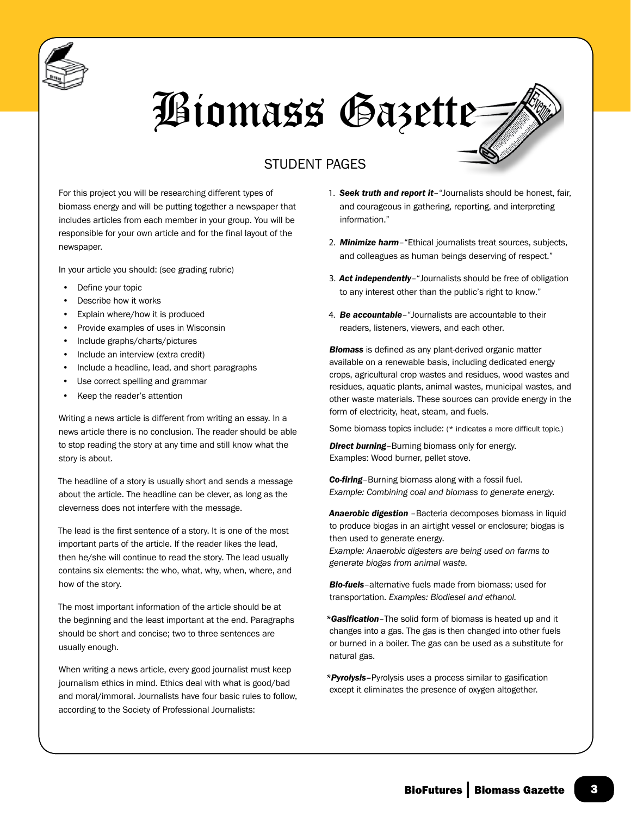

# Biomass Gazette

# STUDENT PAGES

For this project you will be researching different types of biomass energy and will be putting together a newspaper that includes articles from each member in your group. You will be responsible for your own article and for the final layout of the newspaper.

In your article you should: (see grading rubric)

- Define your topic
- Describe how it works
- Explain where/how it is produced
- Provide examples of uses in Wisconsin
- Include graphs/charts/pictures
- Include an interview (extra credit)
- Include a headline, lead, and short paragraphs
- Use correct spelling and grammar
- Keep the reader's attention

Writing a news article is different from writing an essay. In a news article there is no conclusion. The reader should be able to stop reading the story at any time and still know what the story is about.

The headline of a story is usually short and sends a message about the article. The headline can be clever, as long as the cleverness does not interfere with the message.

The lead is the first sentence of a story. It is one of the most important parts of the article. If the reader likes the lead, then he/she will continue to read the story. The lead usually contains six elements: the who, what, why, when, where, and how of the story.

The most important information of the article should be at the beginning and the least important at the end. Paragraphs should be short and concise; two to three sentences are usually enough.

When writing a news article, every good journalist must keep journalism ethics in mind. Ethics deal with what is good/bad and moral/immoral. Journalists have four basic rules to follow, according to the Society of Professional Journalists:

- 1. *Seek truth and report it*–"Journalists should be honest, fair, and courageous in gathering, reporting, and interpreting information."
- 2. *Minimize harm*–"Ethical journalists treat sources, subjects, and colleagues as human beings deserving of respect."
- 3. *Act independently*–"Journalists should be free of obligation to any interest other than the public's right to know."
- 4. *Be accountable*–"Journalists are accountable to their readers, listeners, viewers, and each other.

*Biomass* is defined as any plant-derived organic matter available on a renewable basis, including dedicated energy crops, agricultural crop wastes and residues, wood wastes and residues, aquatic plants, animal wastes, municipal wastes, and other waste materials. These sources can provide energy in the form of electricity, heat, steam, and fuels.

Some biomass topics include: (\* indicates a more difficult topic.)

**Direct burning**–Burning biomass only for energy. Examples: Wood burner, pellet stove.

*Co-firing*–Burning biomass along with a fossil fuel. *Example: Combining coal and biomass to generate energy.*

*Anaerobic digestion* –Bacteria decomposes biomass in liquid to produce biogas in an airtight vessel or enclosure; biogas is then used to generate energy.

*Example: Anaerobic digesters are being used on farms to generate biogas from animal waste.*

*Bio-fuels*–alternative fuels made from biomass; used for transportation. *Examples: Biodiesel and ethanol.*

*\*Gasification*–The solid form of biomass is heated up and it changes into a gas. The gas is then changed into other fuels or burned in a boiler. The gas can be used as a substitute for natural gas.

*\*Pyrolysis–*Pyrolysis uses a process similar to gasification except it eliminates the presence of oxygen altogether.